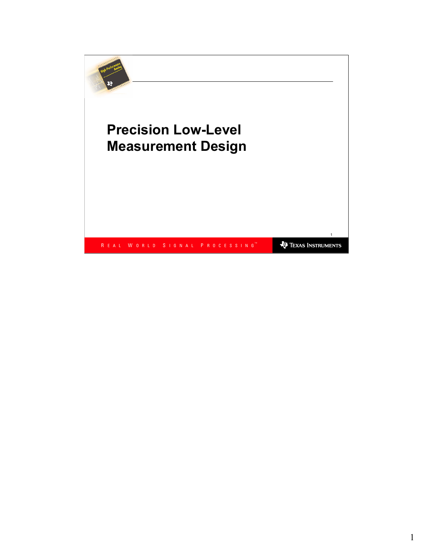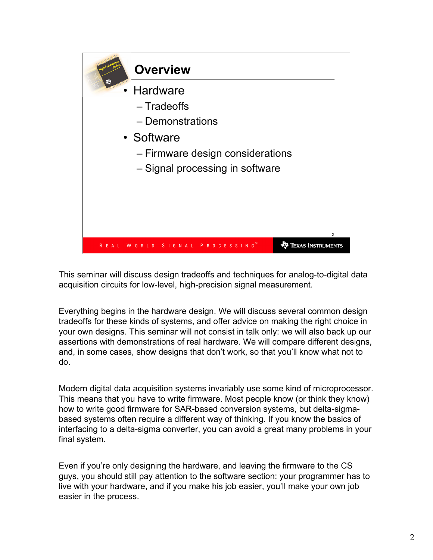

This seminar will discuss design tradeoffs and techniques for analog-to-digital data acquisition circuits for low-level, high-precision signal measurement.

Everything begins in the hardware design. We will discuss several common design tradeoffs for these kinds of systems, and offer advice on making the right choice in your own designs. This seminar will not consist in talk only: we will also back up our assertions with demonstrations of real hardware. We will compare different designs, and, in some cases, show designs that don't work, so that you'll know what not to do.

Modern digital data acquisition systems invariably use some kind of microprocessor. This means that you have to write firmware. Most people know (or think they know) how to write good firmware for SAR-based conversion systems, but delta-sigmabased systems often require a different way of thinking. If you know the basics of interfacing to a delta-sigma converter, you can avoid a great many problems in your final system.

Even if you're only designing the hardware, and leaving the firmware to the CS guys, you should still pay attention to the software section: your programmer has to live with your hardware, and if you make his job easier, you'll make your own job easier in the process.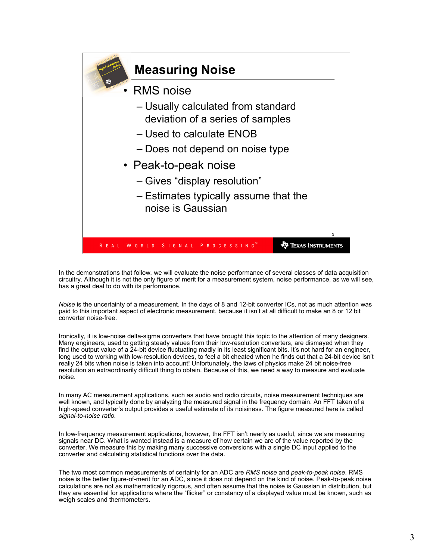

In the demonstrations that follow, we will evaluate the noise performance of several classes of data acquisition circuitry. Although it is not the only figure of merit for a measurement system, noise performance, as we will see, has a great deal to do with its performance.

Noise is the uncertainty of a measurement. In the days of 8 and 12-bit converter ICs, not as much attention was paid to this important aspect of electronic measurement, because it isn't at all difficult to make an 8 or 12 bit converter noise-free.

Ironically, it is low-noise delta-sigma converters that have brought this topic to the attention of many designers. Many engineers, used to getting steady values from their low-resolution converters, are dismayed when they find the output value of a 24-bit device fluctuating madly in its least significant bits. It's not hard for an engineer, long used to working with low-resolution devices, to feel a bit cheated when he finds out that a 24-bit device isn't really 24 bits when noise is taken into account! Unfortunately, the laws of physics make 24 bit noise-free resolution an extraordinarily difficult thing to obtain. Because of this, we need a way to measure and evaluate noise.

In many AC measurement applications, such as audio and radio circuits, noise measurement techniques are well known, and typically done by analyzing the measured signal in the frequency domain. An FFT taken of a high-speed converter's output provides a useful estimate of its noisiness. The figure measured here is called signal-to-noise ratio.

In low-frequency measurement applications, however, the FFT isn't nearly as useful, since we are measuring signals near DC. What is wanted instead is a measure of how certain we are of the value reported by the converter. We measure this by making many successive conversions with a single DC input applied to the converter and calculating statistical functions over the data.

The two most common measurements of certainty for an ADC are RMS noise and peak-to-peak noise. RMS noise is the better figure-of-merit for an ADC, since it does not depend on the kind of noise. Peak-to-peak noise calculations are not as mathematically rigorous, and often assume that the noise is Gaussian in distribution, but they are essential for applications where the "flicker" or constancy of a displayed value must be known, such as weigh scales and thermometers.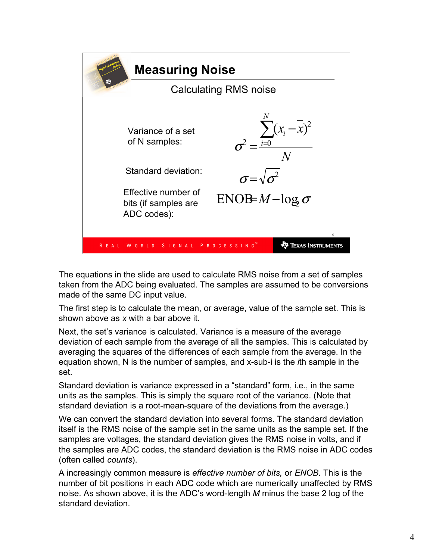

The equations in the slide are used to calculate RMS noise from a set of samples taken from the ADC being evaluated. The samples are assumed to be conversions made of the same DC input value.

The first step is to calculate the mean, or average, value of the sample set. This is shown above as x with a bar above it.

Next, the set's variance is calculated. Variance is a measure of the average deviation of each sample from the average of all the samples. This is calculated by averaging the squares of the differences of each sample from the average. In the equation shown, N is the number of samples, and x-sub-i is the ith sample in the set.

Standard deviation is variance expressed in a "standard" form, i.e., in the same units as the samples. This is simply the square root of the variance. (Note that standard deviation is a root-mean-square of the deviations from the average.)

We can convert the standard deviation into several forms. The standard deviation itself is the RMS noise of the sample set in the same units as the sample set. If the samples are voltages, the standard deviation gives the RMS noise in volts, and if the samples are ADC codes, the standard deviation is the RMS noise in ADC codes (often called counts).

A increasingly common measure is effective number of bits, or ENOB. This is the number of bit positions in each ADC code which are numerically unaffected by RMS noise. As shown above, it is the ADC's word-length M minus the base 2 log of the standard deviation.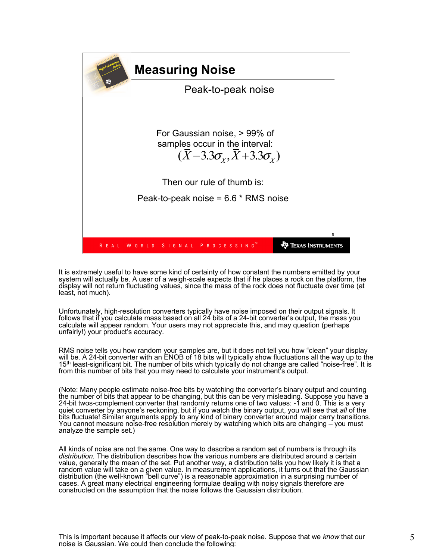

It is extremely useful to have some kind of certainty of how constant the numbers emitted by your system will actually be. A user of a weigh-scale expects that if he places a rock on the platform, the display will not return fluctuating values, since the mass of the rock does not fluctuate over time (at least, not much).

Unfortunately, high-resolution converters typically have noise imposed on their output signals. It follows that if you calculate mass based on all 24 bits of a 24-bit converter's output, the mass you calculate will appear random. Your users may not appreciate this, and may question (perhaps unfairly!) your product's accuracy.

RMS noise tells you how random your samples are, but it does not tell you how "clean" your display will be. A 24-bit converter with an ENOB of 18 bits will typically show fluctuations all the way up to the 15<sup>th</sup> least-significant bit. The number of bits which typically do not change are called "noise-free". It is from this number of bits that you may need to calculate your instrument's output.

(Note: Many people estimate noise-free bits by watching the converter's binary output and counting the number of bits that appear to be changing, but this can be very misleading. Suppose you have a 24-bit twos-complement converter that randomly returns one of two values: -1 and 0. This is a very quiet converter by anyone's reckoning, but if you watch the binary output, you will see that all of the bits fluctuate! Similar arguments apply to any kind of binary converter around major carry transitions. You cannot measure noise-free resolution merely by watching which bits are changing – you must analyze the sample set.)

All kinds of noise are not the same. One way to describe a random set of numbers is through its distribution. The distribution describes how the various numbers are distributed around a certain value, generally the mean of the set. Put another way, a distribution tells you how likely it is that a random value will take on a given value. In measurement applications, it turns out that the Gaussian distribution (the well-known "bell curve") is a reasonable approximation in a surprising number of cases. A great many electrical engineering formulae dealing with noisy signals therefore are constructed on the assumption that the noise follows the Gaussian distribution.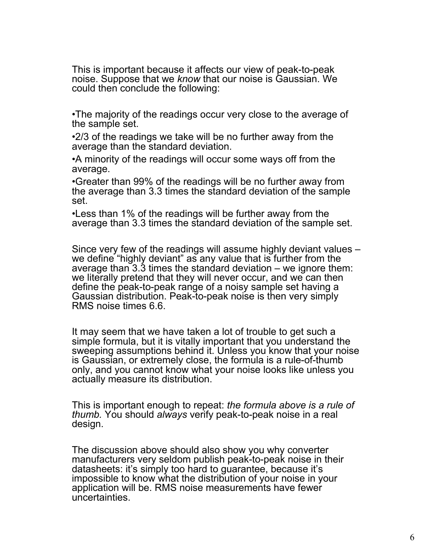This is important because it affects our view of peak-to-peak noise. Suppose that we know that our noise is Gaussian. We could then conclude the following:

•The majority of the readings occur very close to the average of the sample set.

•2/3 of the readings we take will be no further away from the average than the standard deviation.

•A minority of the readings will occur some ways off from the average.

•Greater than 99% of the readings will be no further away from the average than 3.3 times the standard deviation of the sample set.

•Less than 1% of the readings will be further away from the average than 3.3 times the standard deviation of the sample set.

Since very few of the readings will assume highly deviant values – we define "highly deviant" as any value that is further from the average than 3.3 times the standard deviation – we ignore them: we literally pretend that they will never occur, and we can then define the peak-to-peak range of a noisy sample set having a Gaussian distribution. Peak-to-peak noise is then very simply RMS noise times 6.6.

It may seem that we have taken a lot of trouble to get such a simple formula, but it is vitally important that you understand the sweeping assumptions behind it. Unless you know that your noise is Gaussian, or extremely close, the formula is a rule-of-thumb only, and you cannot know what your noise looks like unless you actually measure its distribution.

This is important enough to repeat: the formula above is a rule of thumb. You should always verify peak-to-peak noise in a real design.

The discussion above should also show you why converter manufacturers very seldom publish peak-to-peak noise in their datasheets: it's simply too hard to guarantee, because it's impossible to know what the distribution of your noise in your application will be. RMS noise measurements have fewer uncertainties.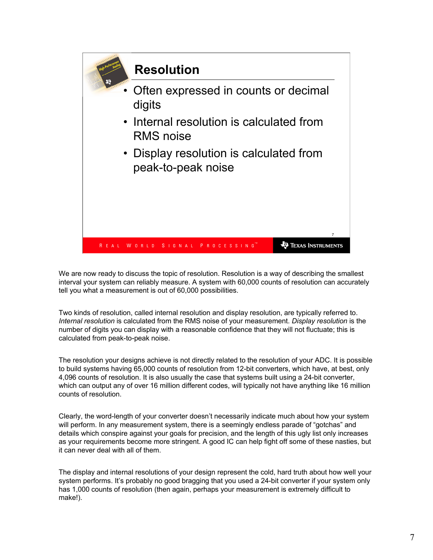

We are now ready to discuss the topic of resolution. Resolution is a way of describing the smallest interval your system can reliably measure. A system with 60,000 counts of resolution can accurately tell you what a measurement is out of 60,000 possibilities.

Two kinds of resolution, called internal resolution and display resolution, are typically referred to. Internal resolution is calculated from the RMS noise of your measurement. Display resolution is the number of digits you can display with a reasonable confidence that they will not fluctuate; this is calculated from peak-to-peak noise.

The resolution your designs achieve is not directly related to the resolution of your ADC. It is possible to build systems having 65,000 counts of resolution from 12-bit converters, which have, at best, only 4,096 counts of resolution. It is also usually the case that systems built using a 24-bit converter, which can output any of over 16 million different codes, will typically not have anything like 16 million counts of resolution.

Clearly, the word-length of your converter doesn't necessarily indicate much about how your system will perform. In any measurement system, there is a seemingly endless parade of "gotchas" and details which conspire against your goals for precision, and the length of this ugly list only increases as your requirements become more stringent. A good IC can help fight off some of these nasties, but it can never deal with all of them.

The display and internal resolutions of your design represent the cold, hard truth about how well your system performs. It's probably no good bragging that you used a 24-bit converter if your system only has 1,000 counts of resolution (then again, perhaps your measurement is extremely difficult to make!).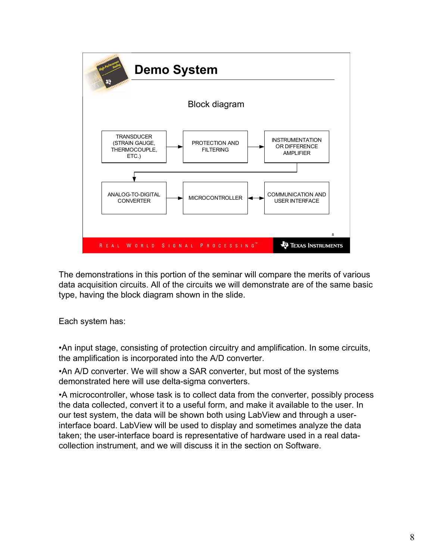

The demonstrations in this portion of the seminar will compare the merits of various data acquisition circuits. All of the circuits we will demonstrate are of the same basic type, having the block diagram shown in the slide.

Each system has:

•An input stage, consisting of protection circuitry and amplification. In some circuits, the amplification is incorporated into the A/D converter.

•An A/D converter. We will show a SAR converter, but most of the systems demonstrated here will use delta-sigma converters.

•A microcontroller, whose task is to collect data from the converter, possibly process the data collected, convert it to a useful form, and make it available to the user. In our test system, the data will be shown both using LabView and through a userinterface board. LabView will be used to display and sometimes analyze the data taken; the user-interface board is representative of hardware used in a real datacollection instrument, and we will discuss it in the section on Software.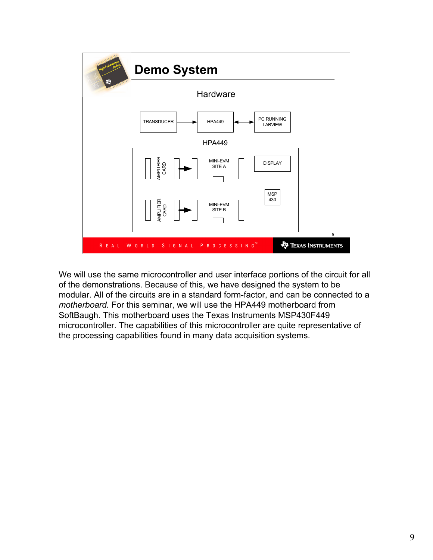

We will use the same microcontroller and user interface portions of the circuit for all of the demonstrations. Because of this, we have designed the system to be modular. All of the circuits are in a standard form-factor, and can be connected to a motherboard. For this seminar, we will use the HPA449 motherboard from SoftBaugh. This motherboard uses the Texas Instruments MSP430F449 microcontroller. The capabilities of this microcontroller are quite representative of the processing capabilities found in many data acquisition systems.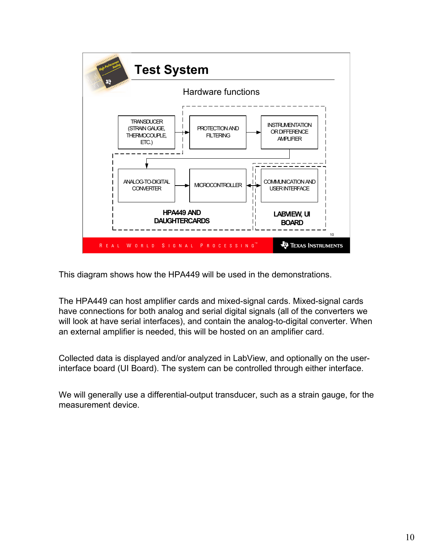

This diagram shows how the HPA449 will be used in the demonstrations.

The HPA449 can host amplifier cards and mixed-signal cards. Mixed-signal cards have connections for both analog and serial digital signals (all of the converters we will look at have serial interfaces), and contain the analog-to-digital converter. When an external amplifier is needed, this will be hosted on an amplifier card.

Collected data is displayed and/or analyzed in LabView, and optionally on the userinterface board (UI Board). The system can be controlled through either interface.

We will generally use a differential-output transducer, such as a strain gauge, for the measurement device.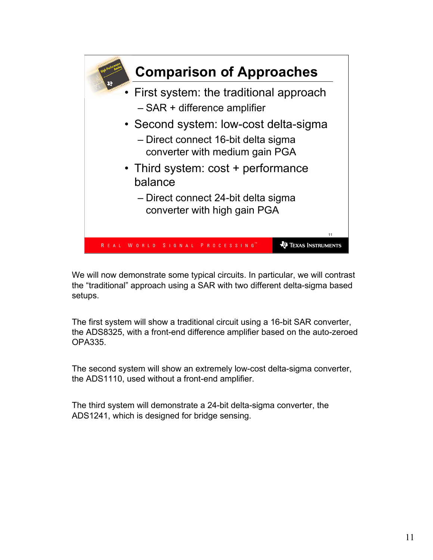

We will now demonstrate some typical circuits. In particular, we will contrast the "traditional" approach using a SAR with two different delta-sigma based setups.

The first system will show a traditional circuit using a 16-bit SAR converter, the ADS8325, with a front-end difference amplifier based on the auto-zeroed OPA335.

The second system will show an extremely low-cost delta-sigma converter, the ADS1110, used without a front-end amplifier.

The third system will demonstrate a 24-bit delta-sigma converter, the ADS1241, which is designed for bridge sensing.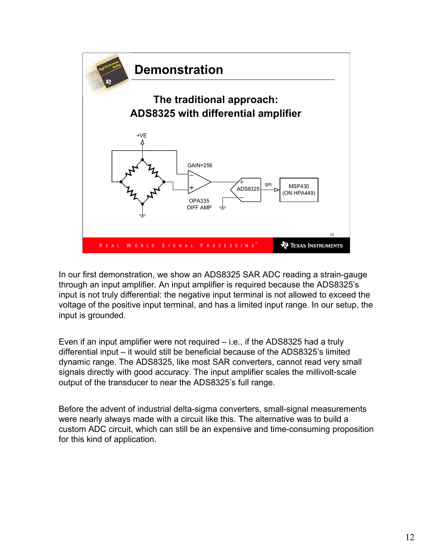

In our first demonstration, we show an ADS8325 SAR ADC reading a strain-gauge through an input amplifier. An input amplifier is required because the ADS8325's input is not truly differential: the negative input terminal is not allowed to exceed the voltage of the positive input terminal, and has a limited input range. In our setup, the input is grounded.

Even if an input amplifier were not required – i.e., if the ADS8325 had a truly differential input – it would still be beneficial because of the ADS8325's limited dynamic range. The ADS8325, like most SAR converters, cannot read very small signals directly with good accuracy. The input amplifier scales the millivolt-scale output of the transducer to near the ADS8325's full range.

Before the advent of industrial delta-sigma converters, small-signal measurements were nearly always made with a circuit like this. The alternative was to build a custom ADC circuit, which can still be an expensive and time-consuming proposition for this kind of application.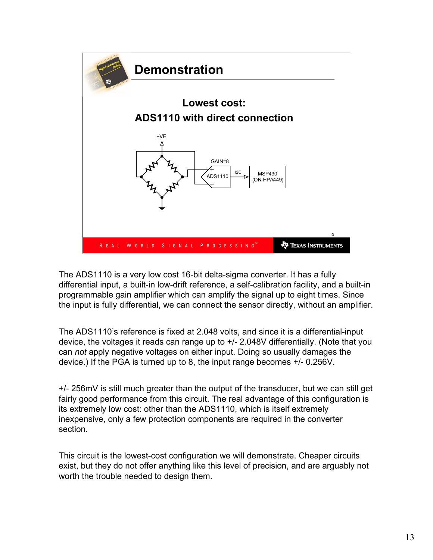

The ADS1110 is a very low cost 16-bit delta-sigma converter. It has a fully differential input, a built-in low-drift reference, a self-calibration facility, and a built-in programmable gain amplifier which can amplify the signal up to eight times. Since the input is fully differential, we can connect the sensor directly, without an amplifier.

The ADS1110's reference is fixed at 2.048 volts, and since it is a differential-input device, the voltages it reads can range up to +/- 2.048V differentially. (Note that you can not apply negative voltages on either input. Doing so usually damages the device.) If the PGA is turned up to 8, the input range becomes +/- 0.256V.

+/- 256mV is still much greater than the output of the transducer, but we can still get fairly good performance from this circuit. The real advantage of this configuration is its extremely low cost: other than the ADS1110, which is itself extremely inexpensive, only a few protection components are required in the converter section.

This circuit is the lowest-cost configuration we will demonstrate. Cheaper circuits exist, but they do not offer anything like this level of precision, and are arguably not worth the trouble needed to design them.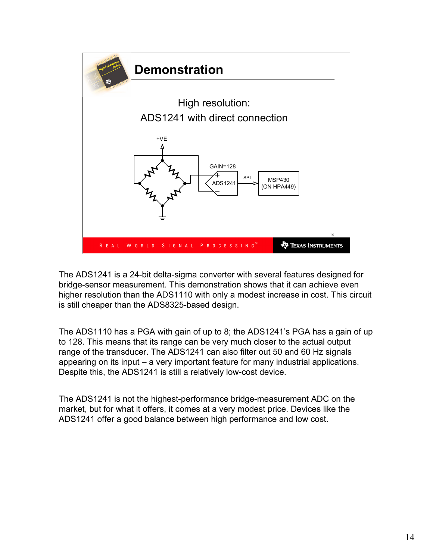

The ADS1241 is a 24-bit delta-sigma converter with several features designed for bridge-sensor measurement. This demonstration shows that it can achieve even higher resolution than the ADS1110 with only a modest increase in cost. This circuit is still cheaper than the ADS8325-based design.

The ADS1110 has a PGA with gain of up to 8; the ADS1241's PGA has a gain of up to 128. This means that its range can be very much closer to the actual output range of the transducer. The ADS1241 can also filter out 50 and 60 Hz signals appearing on its input – a very important feature for many industrial applications. Despite this, the ADS1241 is still a relatively low-cost device.

The ADS1241 is not the highest-performance bridge-measurement ADC on the market, but for what it offers, it comes at a very modest price. Devices like the ADS1241 offer a good balance between high performance and low cost.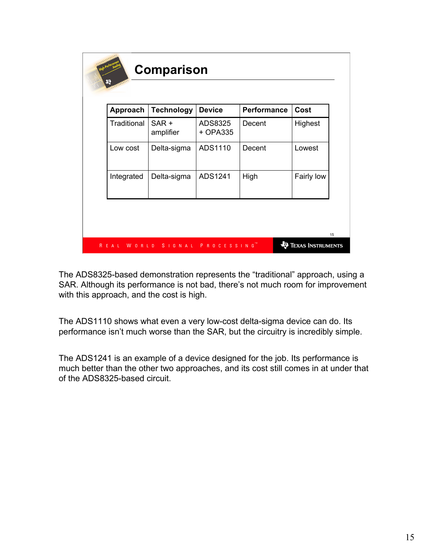| Approach    | <b>Technology</b>    | <b>Device</b>       | <b>Performance</b> | Cost       |
|-------------|----------------------|---------------------|--------------------|------------|
| Traditional | $SAR +$<br>amplifier | ADS8325<br>+ OPA335 | Decent             | Highest    |
| Low cost    | Delta-sigma          | ADS1110             | Decent             | Lowest     |
| Integrated  | Delta-sigma          | ADS1241             | High               | Fairly low |

The ADS8325-based demonstration represents the "traditional" approach, using a SAR. Although its performance is not bad, there's not much room for improvement with this approach, and the cost is high.

The ADS1110 shows what even a very low-cost delta-sigma device can do. Its performance isn't much worse than the SAR, but the circuitry is incredibly simple.

The ADS1241 is an example of a device designed for the job. Its performance is much better than the other two approaches, and its cost still comes in at under that of the ADS8325-based circuit.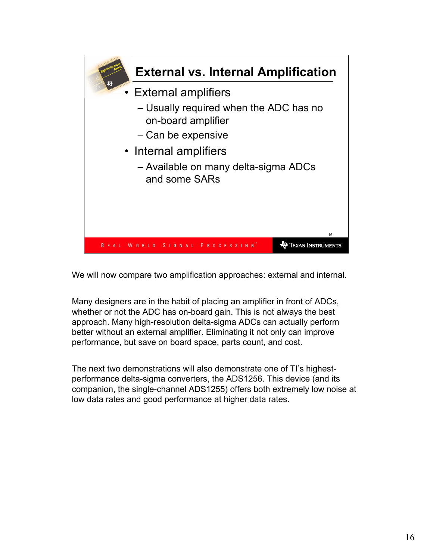

We will now compare two amplification approaches: external and internal.

Many designers are in the habit of placing an amplifier in front of ADCs, whether or not the ADC has on-board gain. This is not always the best approach. Many high-resolution delta-sigma ADCs can actually perform better without an external amplifier. Eliminating it not only can improve performance, but save on board space, parts count, and cost.

The next two demonstrations will also demonstrate one of TI's highestperformance delta-sigma converters, the ADS1256. This device (and its companion, the single-channel ADS1255) offers both extremely low noise at low data rates and good performance at higher data rates.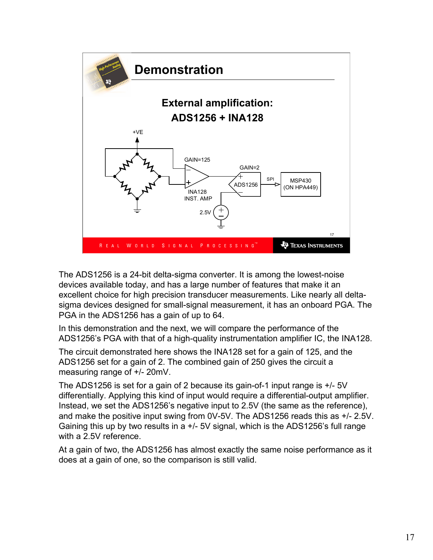

The ADS1256 is a 24-bit delta-sigma converter. It is among the lowest-noise devices available today, and has a large number of features that make it an excellent choice for high precision transducer measurements. Like nearly all deltasigma devices designed for small-signal measurement, it has an onboard PGA. The PGA in the ADS1256 has a gain of up to 64.

In this demonstration and the next, we will compare the performance of the ADS1256's PGA with that of a high-quality instrumentation amplifier IC, the INA128.

The circuit demonstrated here shows the INA128 set for a gain of 125, and the ADS1256 set for a gain of 2. The combined gain of 250 gives the circuit a measuring range of +/- 20mV.

The ADS1256 is set for a gain of 2 because its gain-of-1 input range is +/- 5V differentially. Applying this kind of input would require a differential-output amplifier. Instead, we set the ADS1256's negative input to 2.5V (the same as the reference), and make the positive input swing from 0V-5V. The ADS1256 reads this as +/- 2.5V. Gaining this up by two results in a +/- 5V signal, which is the ADS1256's full range with a 2.5V reference.

At a gain of two, the ADS1256 has almost exactly the same noise performance as it does at a gain of one, so the comparison is still valid.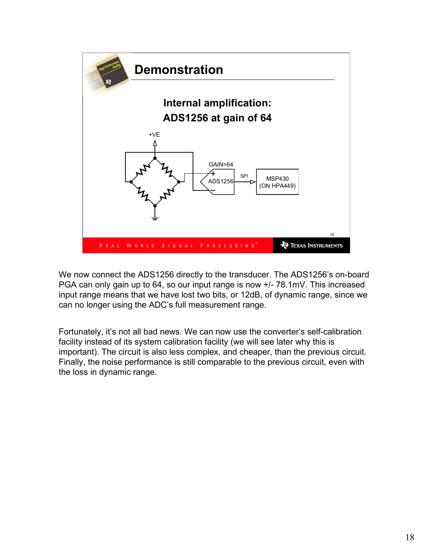

We now connect the ADS1256 directly to the transducer. The ADS1256's on-board PGA can only gain up to 64, so our input range is now +/- 78.1mV. This increased input range means that we have lost two bits, or 12dB, of dynamic range, since we can no longer using the ADC's full measurement range.

Fortunately, it's not all bad news. We can now use the converter's self-calibration facility instead of its system calibration facility (we will see later why this is important). The circuit is also less complex, and cheaper, than the previous circuit. Finally, the noise performance is still comparable to the previous circuit, even with the loss in dynamic range.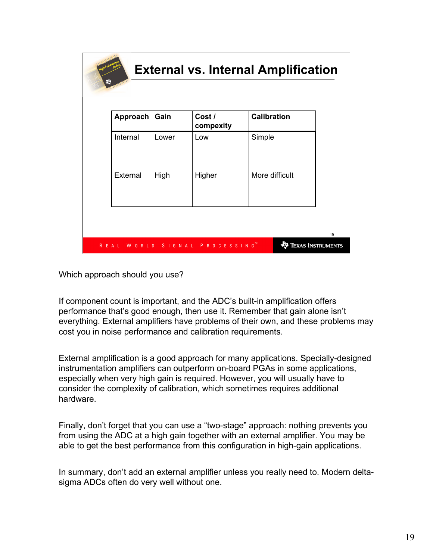| Approach | Gain  | Cost /<br>compexity | <b>Calibration</b> |
|----------|-------|---------------------|--------------------|
| Internal | Lower | Low                 | Simple             |
| External | High  | Higher              | More difficult     |

Which approach should you use?

If component count is important, and the ADC's built-in amplification offers performance that's good enough, then use it. Remember that gain alone isn't everything. External amplifiers have problems of their own, and these problems may cost you in noise performance and calibration requirements.

External amplification is a good approach for many applications. Specially-designed instrumentation amplifiers can outperform on-board PGAs in some applications, especially when very high gain is required. However, you will usually have to consider the complexity of calibration, which sometimes requires additional hardware.

Finally, don't forget that you can use a "two-stage" approach: nothing prevents you from using the ADC at a high gain together with an external amplifier. You may be able to get the best performance from this configuration in high-gain applications.

In summary, don't add an external amplifier unless you really need to. Modern deltasigma ADCs often do very well without one.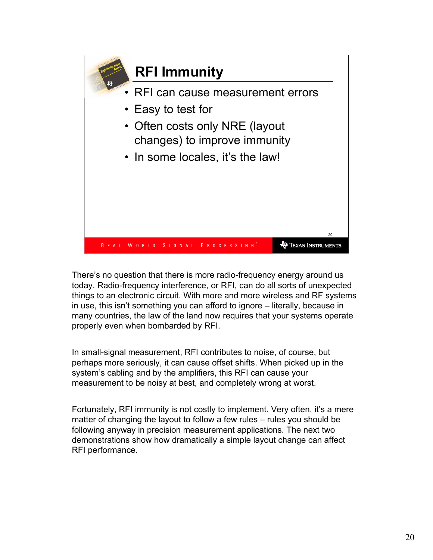

There's no question that there is more radio-frequency energy around us today. Radio-frequency interference, or RFI, can do all sorts of unexpected things to an electronic circuit. With more and more wireless and RF systems in use, this isn't something you can afford to ignore – literally, because in many countries, the law of the land now requires that your systems operate properly even when bombarded by RFI.

In small-signal measurement, RFI contributes to noise, of course, but perhaps more seriously, it can cause offset shifts. When picked up in the system's cabling and by the amplifiers, this RFI can cause your measurement to be noisy at best, and completely wrong at worst.

Fortunately, RFI immunity is not costly to implement. Very often, it's a mere matter of changing the layout to follow a few rules – rules you should be following anyway in precision measurement applications. The next two demonstrations show how dramatically a simple layout change can affect RFI performance.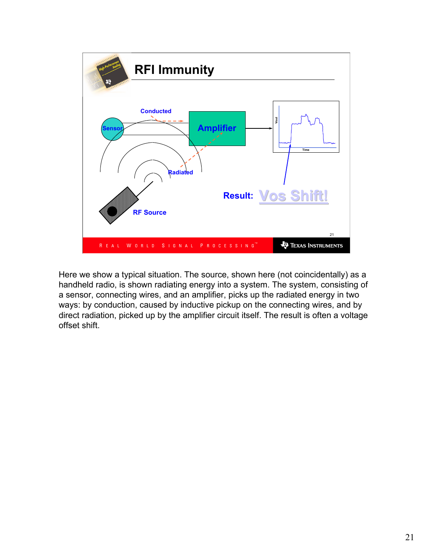

Here we show a typical situation. The source, shown here (not coincidentally) as a handheld radio, is shown radiating energy into a system. The system, consisting of a sensor, connecting wires, and an amplifier, picks up the radiated energy in two ways: by conduction, caused by inductive pickup on the connecting wires, and by direct radiation, picked up by the amplifier circuit itself. The result is often a voltage offset shift.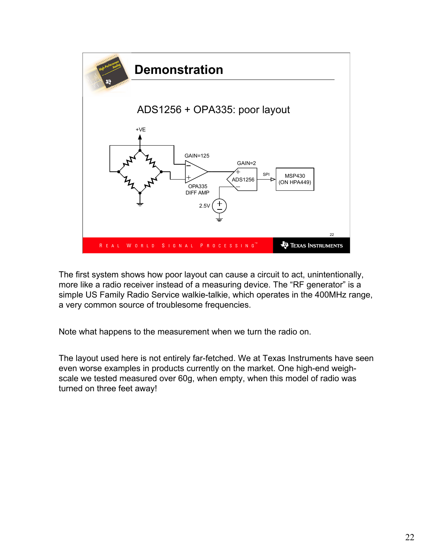

The first system shows how poor layout can cause a circuit to act, unintentionally, more like a radio receiver instead of a measuring device. The "RF generator" is a simple US Family Radio Service walkie-talkie, which operates in the 400MHz range, a very common source of troublesome frequencies.

Note what happens to the measurement when we turn the radio on.

The layout used here is not entirely far-fetched. We at Texas Instruments have seen even worse examples in products currently on the market. One high-end weighscale we tested measured over 60g, when empty, when this model of radio was turned on three feet away!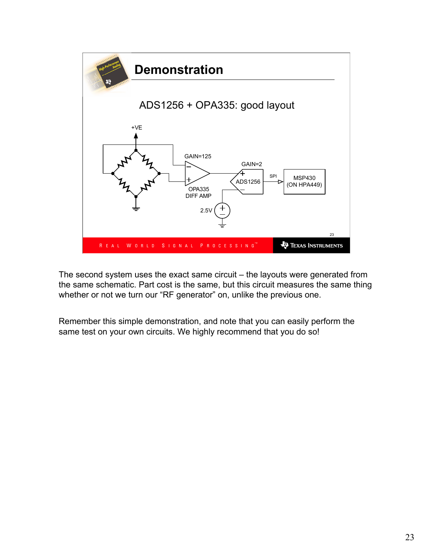

The second system uses the exact same circuit – the layouts were generated from the same schematic. Part cost is the same, but this circuit measures the same thing whether or not we turn our "RF generator" on, unlike the previous one.

Remember this simple demonstration, and note that you can easily perform the same test on your own circuits. We highly recommend that you do so!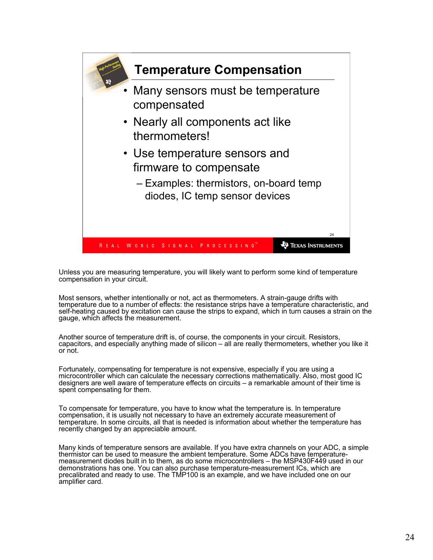

Unless you are measuring temperature, you will likely want to perform some kind of temperature compensation in your circuit.

Most sensors, whether intentionally or not, act as thermometers. A strain-gauge drifts with temperature due to a number of effects: the resistance strips have a temperature characteristic, and self-heating caused by excitation can cause the strips to expand, which in turn causes a strain on the gauge, which affects the measurement.

Another source of temperature drift is, of course, the components in your circuit. Resistors, capacitors, and especially anything made of silicon – all are really thermometers, whether you like it or not.

Fortunately, compensating for temperature is not expensive, especially if you are using a microcontroller which can calculate the necessary corrections mathematically. Also, most good IC designers are well aware of temperature effects on circuits – a remarkable amount of their time is spent compensating for them.

To compensate for temperature, you have to know what the temperature is. In temperature compensation, it is usually not necessary to have an extremely accurate measurement of temperature. In some circuits, all that is needed is information about whether the temperature has recently changed by an appreciable amount.

Many kinds of temperature sensors are available. If you have extra channels on your ADC, a simple thermistor can be used to measure the ambient temperature. Some ADCs have temperaturemeasurement diodes built in to them, as do some microcontrollers – the MSP430F449 used in our demonstrations has one. You can also purchase temperature-measurement ICs, which are precalibrated and ready to use. The TMP100 is an example, and we have included one on our amplifier card.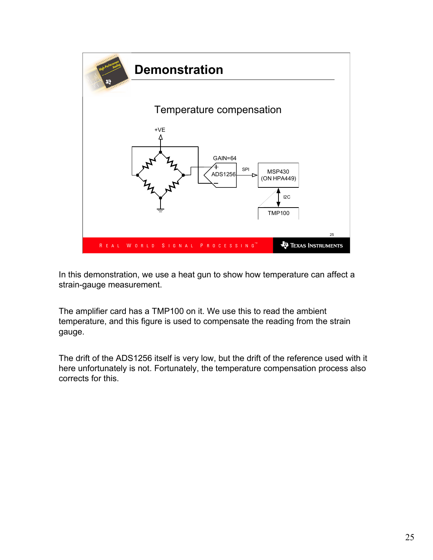

In this demonstration, we use a heat gun to show how temperature can affect a strain-gauge measurement.

The amplifier card has a TMP100 on it. We use this to read the ambient temperature, and this figure is used to compensate the reading from the strain gauge.

The drift of the ADS1256 itself is very low, but the drift of the reference used with it here unfortunately is not. Fortunately, the temperature compensation process also corrects for this.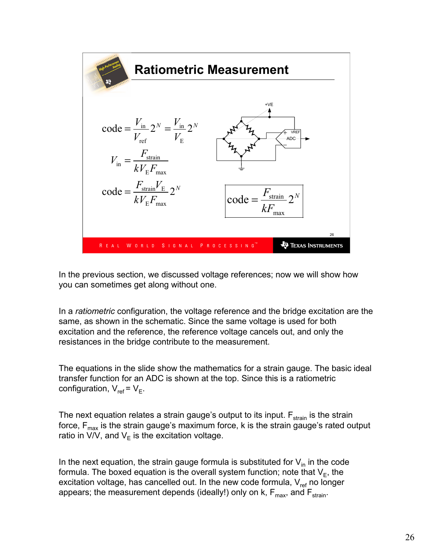

In the previous section, we discussed voltage references; now we will show how you can sometimes get along without one.

In a *ratiometric* configuration, the voltage reference and the bridge excitation are the same, as shown in the schematic. Since the same voltage is used for both excitation and the reference, the reference voltage cancels out, and only the resistances in the bridge contribute to the measurement.

The equations in the slide show the mathematics for a strain gauge. The basic ideal transfer function for an ADC is shown at the top. Since this is a ratiometric configuration,  $V_{ref}$  =  $V_{E}$ .

The next equation relates a strain gauge's output to its input.  $F_{strain}$  is the strain force,  $F_{\text{max}}$  is the strain gauge's maximum force, k is the strain gauge's rated output ratio in V/V, and V $_{\mathsf{E}}$  is the excitation voltage.

In the next equation, the strain gauge formula is substituted for  $V_{in}$  in the code formula. The boxed equation is the overall system function; note that  $\mathsf{V}_{\mathsf{E}}$ , the excitation voltage, has cancelled out. In the new code formula,  $V_{ref}$  no longer appears; the measurement depends (ideally!) only on  $k$ ,  $F_{\text{max}}$ , and  $F_{\text{strain}}$ .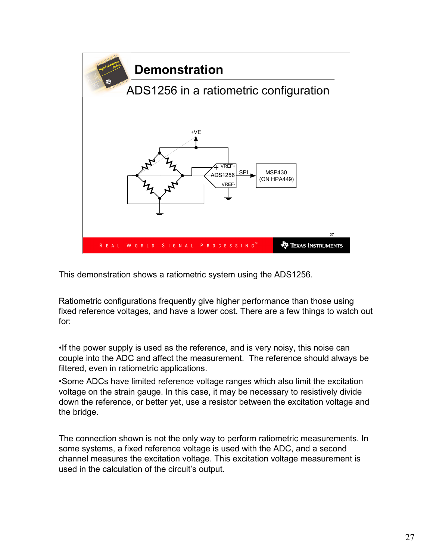

This demonstration shows a ratiometric system using the ADS1256.

Ratiometric configurations frequently give higher performance than those using fixed reference voltages, and have a lower cost. There are a few things to watch out for:

•If the power supply is used as the reference, and is very noisy, this noise can couple into the ADC and affect the measurement. The reference should always be filtered, even in ratiometric applications.

•Some ADCs have limited reference voltage ranges which also limit the excitation voltage on the strain gauge. In this case, it may be necessary to resistively divide down the reference, or better yet, use a resistor between the excitation voltage and the bridge.

The connection shown is not the only way to perform ratiometric measurements. In some systems, a fixed reference voltage is used with the ADC, and a second channel measures the excitation voltage. This excitation voltage measurement is used in the calculation of the circuit's output.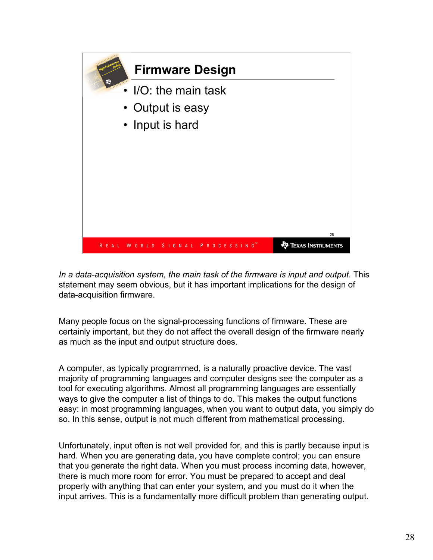

In a data-acquisition system, the main task of the firmware is input and output. This statement may seem obvious, but it has important implications for the design of data-acquisition firmware.

Many people focus on the signal-processing functions of firmware. These are certainly important, but they do not affect the overall design of the firmware nearly as much as the input and output structure does.

A computer, as typically programmed, is a naturally proactive device. The vast majority of programming languages and computer designs see the computer as a tool for executing algorithms. Almost all programming languages are essentially ways to give the computer a list of things to do. This makes the output functions easy: in most programming languages, when you want to output data, you simply do so. In this sense, output is not much different from mathematical processing.

Unfortunately, input often is not well provided for, and this is partly because input is hard. When you are generating data, you have complete control; you can ensure that you generate the right data. When you must process incoming data, however, there is much more room for error. You must be prepared to accept and deal properly with anything that can enter your system, and you must do it when the input arrives. This is a fundamentally more difficult problem than generating output.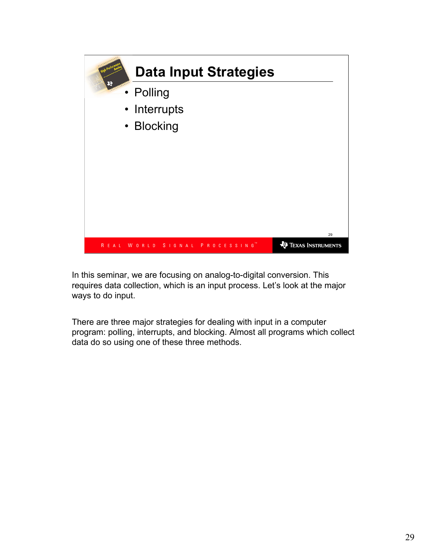

In this seminar, we are focusing on analog-to-digital conversion. This requires data collection, which is an input process. Let's look at the major ways to do input.

There are three major strategies for dealing with input in a computer program: polling, interrupts, and blocking. Almost all programs which collect data do so using one of these three methods.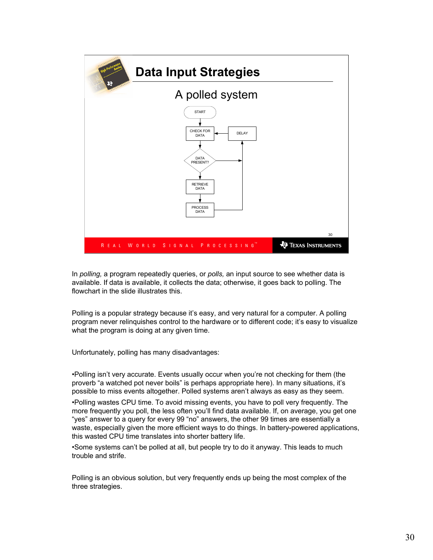

In polling, a program repeatedly queries, or polls, an input source to see whether data is available. If data is available, it collects the data; otherwise, it goes back to polling. The flowchart in the slide illustrates this.

Polling is a popular strategy because it's easy, and very natural for a computer. A polling program never relinquishes control to the hardware or to different code; it's easy to visualize what the program is doing at any given time.

Unfortunately, polling has many disadvantages:

•Polling isn't very accurate. Events usually occur when you're not checking for them (the proverb "a watched pot never boils" is perhaps appropriate here). In many situations, it's possible to miss events altogether. Polled systems aren't always as easy as they seem.

•Polling wastes CPU time. To avoid missing events, you have to poll very frequently. The more frequently you poll, the less often you'll find data available. If, on average, you get one "yes" answer to a query for every 99 "no" answers, the other 99 times are essentially a waste, especially given the more efficient ways to do things. In battery-powered applications, this wasted CPU time translates into shorter battery life.

•Some systems can't be polled at all, but people try to do it anyway. This leads to much trouble and strife.

Polling is an obvious solution, but very frequently ends up being the most complex of the three strategies.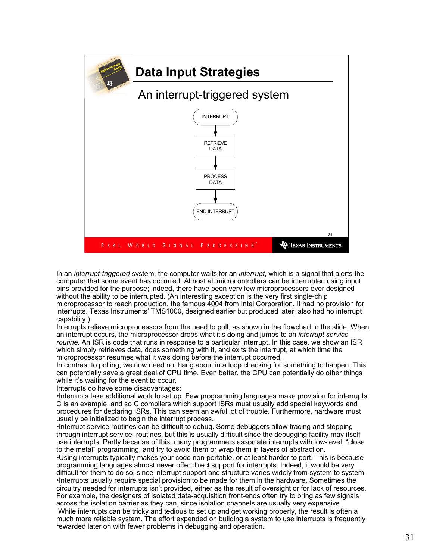

In an *interrupt-triggered* system, the computer waits for an *interrupt*, which is a signal that alerts the computer that some event has occurred. Almost all microcontrollers can be interrupted using input pins provided for the purpose; indeed, there have been very few microprocessors ever designed without the ability to be interrupted. (An interesting exception is the very first single-chip microprocessor to reach production, the famous 4004 from Intel Corporation. It had no provision for interrupts. Texas Instruments' TMS1000, designed earlier but produced later, also had no interrupt capability.)

Interrupts relieve microprocessors from the need to poll, as shown in the flowchart in the slide. When an interrupt occurs, the microprocessor drops what it's doing and jumps to an interrupt service routine. An ISR is code that runs in response to a particular interrupt. In this case, we show an ISR which simply retrieves data, does something with it, and exits the interrupt, at which time the microprocessor resumes what it was doing before the interrupt occurred.

In contrast to polling, we now need not hang about in a loop checking for something to happen. This can potentially save a great deal of CPU time. Even better, the CPU can potentially do other things while it's waiting for the event to occur.

Interrupts do have some disadvantages:

•Interrupts take additional work to set up. Few programming languages make provision for interrupts; C is an example, and so C compilers which support ISRs must usually add special keywords and procedures for declaring ISRs. This can seem an awful lot of trouble. Furthermore, hardware must usually be initialized to begin the interrupt process.

•Interrupt service routines can be difficult to debug. Some debuggers allow tracing and stepping through interrupt service routines, but this is usually difficult since the debugging facility may itself use interrupts. Partly because of this, many programmers associate interrupts with low-level, "close to the metal" programming, and try to avoid them or wrap them in layers of abstraction.

•Using interrupts typically makes your code non-portable, or at least harder to port. This is because programming languages almost never offer direct support for interrupts. Indeed, it would be very difficult for them to do so, since interrupt support and structure varies widely from system to system. •Interrupts usually require special provision to be made for them in the hardware. Sometimes the circuitry needed for interrupts isn't provided, either as the result of oversight or for lack of resources. For example, the designers of isolated data-acquisition front-ends often try to bring as few signals across the isolation barrier as they can, since isolation channels are usually very expensive.

While interrupts can be tricky and tedious to set up and get working properly, the result is often a much more reliable system. The effort expended on building a system to use interrupts is frequently rewarded later on with fewer problems in debugging and operation.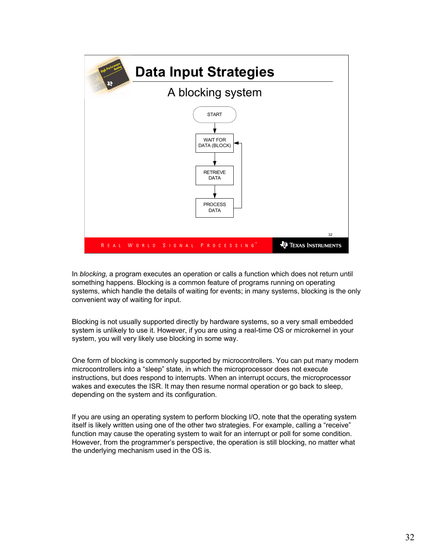

In blocking, a program executes an operation or calls a function which does not return until something happens. Blocking is a common feature of programs running on operating systems, which handle the details of waiting for events; in many systems, blocking is the only convenient way of waiting for input.

Blocking is not usually supported directly by hardware systems, so a very small embedded system is unlikely to use it. However, if you are using a real-time OS or microkernel in your system, you will very likely use blocking in some way.

One form of blocking is commonly supported by microcontrollers. You can put many modern microcontrollers into a "sleep" state, in which the microprocessor does not execute instructions, but does respond to interrupts. When an interrupt occurs, the microprocessor wakes and executes the ISR. It may then resume normal operation or go back to sleep, depending on the system and its configuration.

If you are using an operating system to perform blocking I/O, note that the operating system itself is likely written using one of the other two strategies. For example, calling a "receive" function may cause the operating system to wait for an interrupt or poll for some condition. However, from the programmer's perspective, the operation is still blocking, no matter what the underlying mechanism used in the OS is.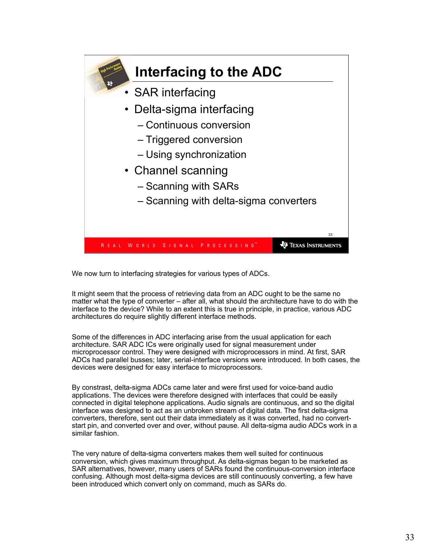

We now turn to interfacing strategies for various types of ADCs.

It might seem that the process of retrieving data from an ADC ought to be the same no matter what the type of converter – after all, what should the architecture have to do with the interface to the device? While to an extent this is true in principle, in practice, various ADC architectures do require slightly different interface methods.

Some of the differences in ADC interfacing arise from the usual application for each architecture. SAR ADC ICs were originally used for signal measurement under microprocessor control. They were designed with microprocessors in mind. At first, SAR ADCs had parallel busses; later, serial-interface versions were introduced. In both cases, the devices were designed for easy interface to microprocessors.

By constrast, delta-sigma ADCs came later and were first used for voice-band audio applications. The devices were therefore designed with interfaces that could be easily connected in digital telephone applications. Audio signals are continuous, and so the digital interface was designed to act as an unbroken stream of digital data. The first delta-sigma converters, therefore, sent out their data immediately as it was converted, had no convertstart pin, and converted over and over, without pause. All delta-sigma audio ADCs work in a similar fashion.

The very nature of delta-sigma converters makes them well suited for continuous conversion, which gives maximum throughput. As delta-sigmas began to be marketed as SAR alternatives, however, many users of SARs found the continuous-conversion interface confusing. Although most delta-sigma devices are still continuously converting, a few have been introduced which convert only on command, much as SARs do.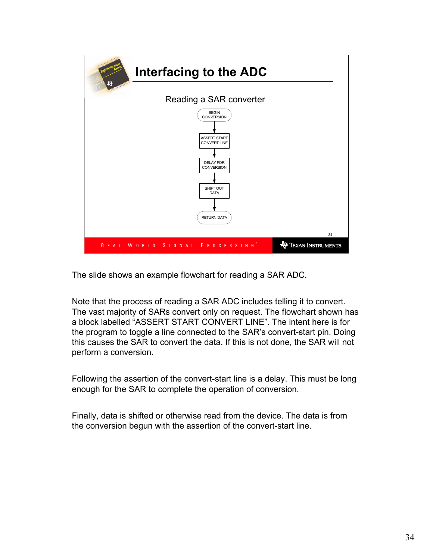

The slide shows an example flowchart for reading a SAR ADC.

Note that the process of reading a SAR ADC includes telling it to convert. The vast majority of SARs convert only on request. The flowchart shown has a block labelled "ASSERT START CONVERT LINE". The intent here is for the program to toggle a line connected to the SAR's convert-start pin. Doing this causes the SAR to convert the data. If this is not done, the SAR will not perform a conversion.

Following the assertion of the convert-start line is a delay. This must be long enough for the SAR to complete the operation of conversion.

Finally, data is shifted or otherwise read from the device. The data is from the conversion begun with the assertion of the convert-start line.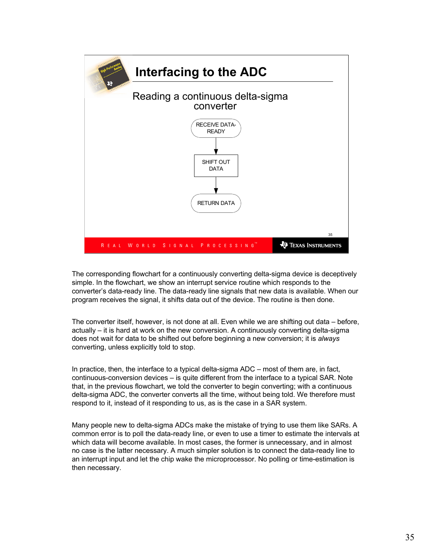

The corresponding flowchart for a continuously converting delta-sigma device is deceptively simple. In the flowchart, we show an interrupt service routine which responds to the converter's data-ready line. The data-ready line signals that new data is available. When our program receives the signal, it shifts data out of the device. The routine is then done.

The converter itself, however, is not done at all. Even while we are shifting out data – before, actually – it is hard at work on the new conversion. A continuously converting delta-sigma does not wait for data to be shifted out before beginning a new conversion; it is always converting, unless explicitly told to stop.

In practice, then, the interface to a typical delta-sigma ADC – most of them are, in fact, continuous-conversion devices – is quite different from the interface to a typical SAR. Note that, in the previous flowchart, we told the converter to begin converting; with a continuous delta-sigma ADC, the converter converts all the time, without being told. We therefore must respond to it, instead of it responding to us, as is the case in a SAR system.

Many people new to delta-sigma ADCs make the mistake of trying to use them like SARs. A common error is to poll the data-ready line, or even to use a timer to estimate the intervals at which data will become available. In most cases, the former is unnecessary, and in almost no case is the latter necessary. A much simpler solution is to connect the data-ready line to an interrupt input and let the chip wake the microprocessor. No polling or time-estimation is then necessary.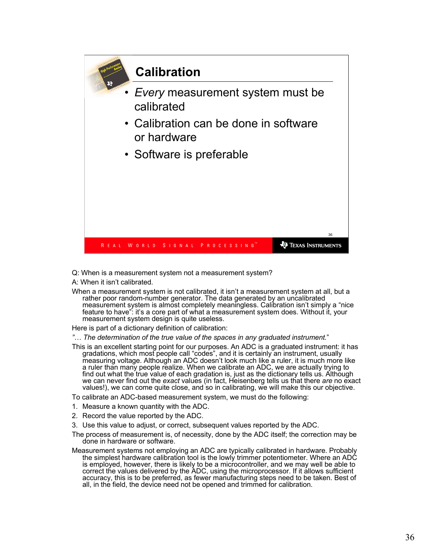

Q: When is a measurement system not a measurement system?

A: When it isn't calibrated.

When a measurement system is not calibrated, it isn't a measurement system at all, but a rather poor random-number generator. The data generated by an uncalibrated measurement system is almost completely meaningless. Calibration isn't simply a "nice feature to have": it's a core part of what a measurement system does. Without it, your measurement system design is quite useless.

Here is part of a dictionary definition of calibration:

"… The determination of the true value of the spaces in any graduated instrument."

- This is an excellent starting point for our purposes. An ADC is a graduated instrument: it has gradations, which most people call "codes", and it is certainly an instrument, usually measuring voltage. Although an ADC doesn't look much like a ruler, it is much more like a ruler than many people realize. When we calibrate an ADC, we are actually trying to find out what the true value of each gradation is, just as the dictionary tells us. Although we can never find out the *exact* values (in fact, Heisenberg tells us that there *are* no exact values!), we can come quite close, and so in calibrating, we will make this our objective.
- To calibrate an ADC-based measurement system, we must do the following:
- 1. Measure a known quantity with the ADC.
- 2. Record the value reported by the ADC.
- 3. Use this value to adjust, or correct, subsequent values reported by the ADC.
- The process of measurement is, of necessity, done by the ADC itself; the correction may be done in hardware or software.
- Measurement systems not employing an ADC are typically calibrated in hardware. Probably the simplest hardware calibration tool is the lowly trimmer potentiometer. Where an ADC is employed, however, there is likely to be a microcontroller, and we may well be able to correct the values delivered by the ADC, using the microprocessor. If it allows sufficient accuracy, this is to be preferred, as fewer manufacturing steps need to be taken. Best of all, in the field, the device need not be opened and trimmed for calibration.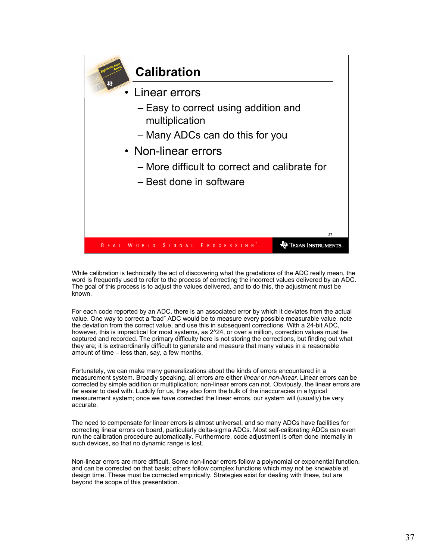

While calibration is technically the act of discovering what the gradations of the ADC really mean, the word is frequently used to refer to the process of correcting the incorrect values delivered by an ADC. The goal of this process is to adjust the values delivered, and to do this, the adjustment must be known.

For each code reported by an ADC, there is an associated error by which it deviates from the actual value. One way to correct a "bad" ADC would be to measure every possible measurable value, note the deviation from the correct value, and use this in subsequent corrections. With a 24-bit ADC, however, this is impractical for most systems, as  $2^2$ 24, or over a million, correction values must be captured and recorded. The primary difficulty here is not storing the corrections, but finding out what they are; it is extraordinarily difficult to generate and measure that many values in a reasonable amount of time – less than, say, a few months.

Fortunately, we can make many generalizations about the kinds of errors encountered in a measurement system. Broadly speaking, all errors are either linear or non-linear. Linear errors can be corrected by simple addition or multiplication; non-linear errors can not. Obviously, the linear errors are far easier to deal with. Luckily for us, they also form the bulk of the inaccuracies in a typical measurement system; once we have corrected the linear errors, our system will (usually) be very accurate.

The need to compensate for linear errors is almost universal, and so many ADCs have facilities for correcting linear errors on board, particularly delta-sigma ADCs. Most self-calibrating ADCs can even run the calibration procedure automatically. Furthermore, code adjustment is often done internally in such devices, so that no dynamic range is lost.

Non-linear errors are more difficult. Some non-linear errors follow a polynomial or exponential function, and can be corrected on that basis; others follow complex functions which may not be knowable at design time. These must be corrected empirically. Strategies exist for dealing with these, but are beyond the scope of this presentation.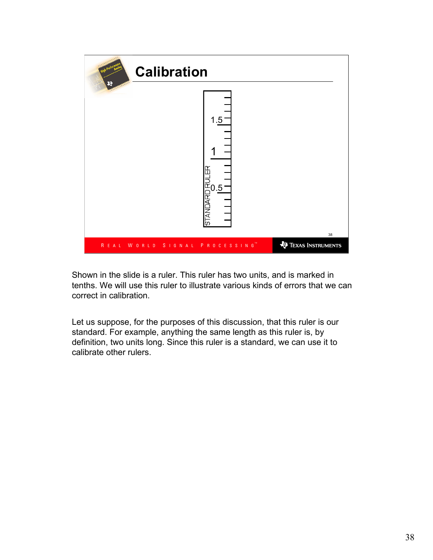

Shown in the slide is a ruler. This ruler has two units, and is marked in tenths. We will use this ruler to illustrate various kinds of errors that we can correct in calibration.

Let us suppose, for the purposes of this discussion, that this ruler is our standard. For example, anything the same length as this ruler is, by definition, two units long. Since this ruler is a standard, we can use it to calibrate other rulers.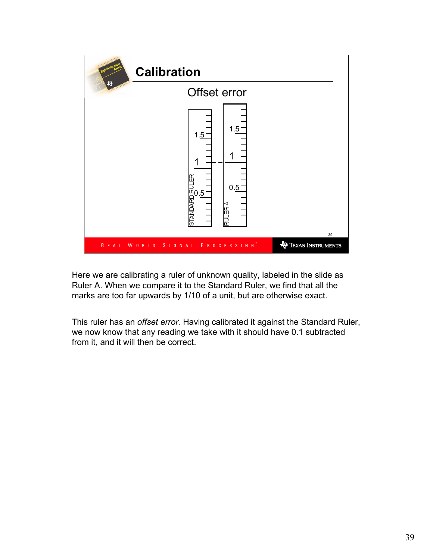

Here we are calibrating a ruler of unknown quality, labeled in the slide as Ruler A. When we compare it to the Standard Ruler, we find that all the marks are too far upwards by 1/10 of a unit, but are otherwise exact.

This ruler has an offset error. Having calibrated it against the Standard Ruler, we now know that any reading we take with it should have 0.1 subtracted from it, and it will then be correct.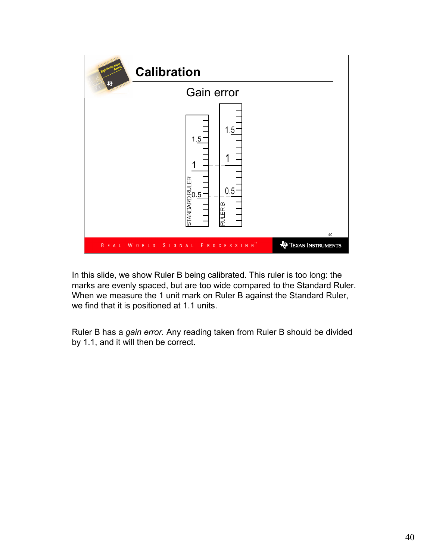

In this slide, we show Ruler B being calibrated. This ruler is too long: the marks are evenly spaced, but are too wide compared to the Standard Ruler. When we measure the 1 unit mark on Ruler B against the Standard Ruler, we find that it is positioned at 1.1 units.

Ruler B has a gain error. Any reading taken from Ruler B should be divided by 1.1, and it will then be correct.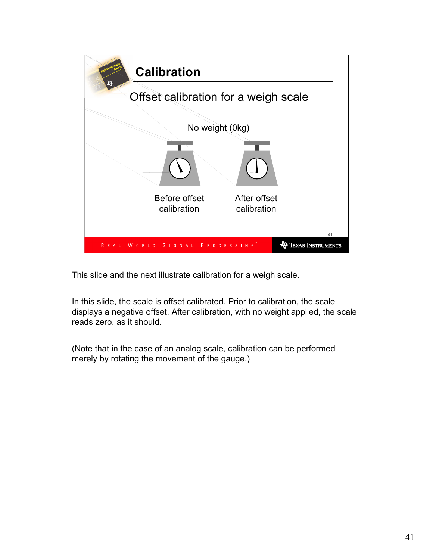

This slide and the next illustrate calibration for a weigh scale.

In this slide, the scale is offset calibrated. Prior to calibration, the scale displays a negative offset. After calibration, with no weight applied, the scale reads zero, as it should.

(Note that in the case of an analog scale, calibration can be performed merely by rotating the movement of the gauge.)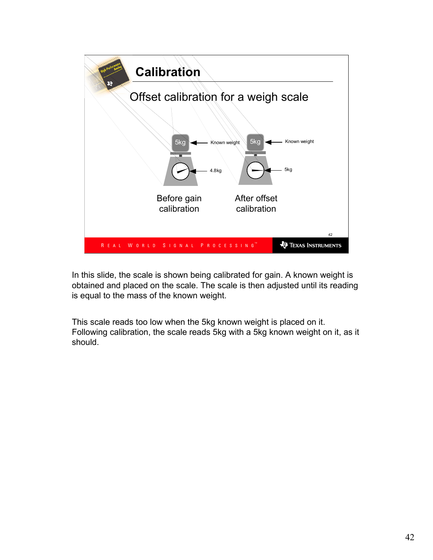

In this slide, the scale is shown being calibrated for gain. A known weight is obtained and placed on the scale. The scale is then adjusted until its reading is equal to the mass of the known weight.

This scale reads too low when the 5kg known weight is placed on it. Following calibration, the scale reads 5kg with a 5kg known weight on it, as it should.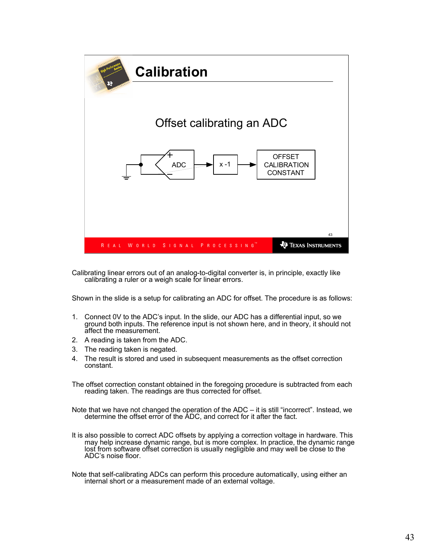

Calibrating linear errors out of an analog-to-digital converter is, in principle, exactly like calibrating a ruler or a weigh scale for linear errors.

Shown in the slide is a setup for calibrating an ADC for offset. The procedure is as follows:

- 1. Connect 0V to the ADC's input. In the slide, our ADC has a differential input, so we ground both inputs. The reference input is not shown here, and in theory, it should not affect the measurement.
- 2. A reading is taken from the ADC.
- 3. The reading taken is negated.
- 4. The result is stored and used in subsequent measurements as the offset correction constant.

The offset correction constant obtained in the foregoing procedure is subtracted from each reading taken. The readings are thus corrected for offset.

Note that we have not changed the operation of the ADC – it is still "incorrect". Instead, we determine the offset error of the ADC, and correct for it after the fact.

It is also possible to correct ADC offsets by applying a correction voltage in hardware. This may help increase dynamic range, but is more complex. In practice, the dynamic range lost from software offset correction is usually negligible and may well be close to the ADC's noise floor.

Note that self-calibrating ADCs can perform this procedure automatically, using either an internal short or a measurement made of an external voltage.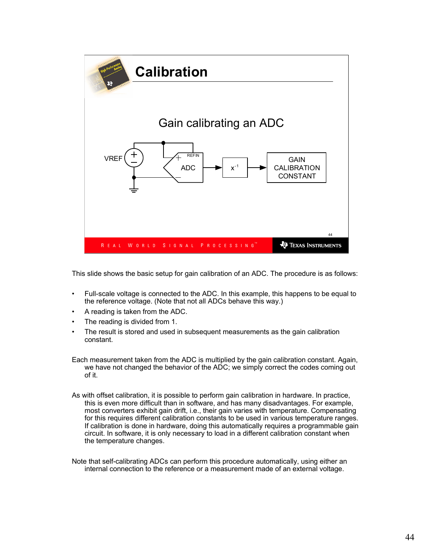

This slide shows the basic setup for gain calibration of an ADC. The procedure is as follows:

- Full-scale voltage is connected to the ADC. In this example, this happens to be equal to the reference voltage. (Note that not all ADCs behave this way.)
- A reading is taken from the ADC.
- The reading is divided from 1.
- The result is stored and used in subsequent measurements as the gain calibration constant.
- Each measurement taken from the ADC is multiplied by the gain calibration constant. Again, we have not changed the behavior of the ADC; we simply correct the codes coming out of it.
- As with offset calibration, it is possible to perform gain calibration in hardware. In practice, this is even more difficult than in software, and has many disadvantages. For example, most converters exhibit gain drift, i.e., their gain varies with temperature. Compensating for this requires different calibration constants to be used in various temperature ranges. If calibration is done in hardware, doing this automatically requires a programmable gain circuit. In software, it is only necessary to load in a different calibration constant when the temperature changes.
- Note that self-calibrating ADCs can perform this procedure automatically, using either an internal connection to the reference or a measurement made of an external voltage.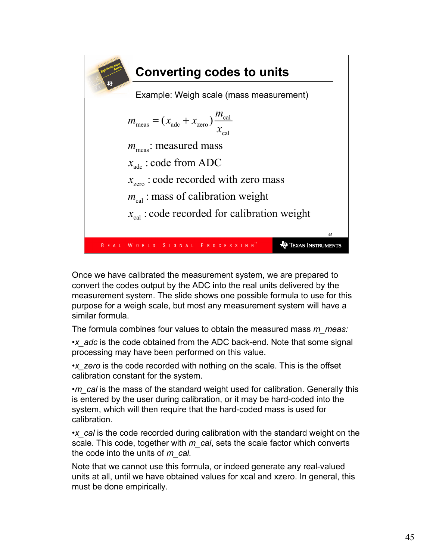

Once we have calibrated the measurement system, we are prepared to convert the codes output by the ADC into the real units delivered by the measurement system. The slide shows one possible formula to use for this purpose for a weigh scale, but most any measurement system will have a similar formula.

The formula combines four values to obtain the measured mass m\_meas:

•x adc is the code obtained from the ADC back-end. Note that some signal processing may have been performed on this value.

•x zero is the code recorded with nothing on the scale. This is the offset calibration constant for the system.

•m cal is the mass of the standard weight used for calibration. Generally this is entered by the user during calibration, or it may be hard-coded into the system, which will then require that the hard-coded mass is used for calibration.

•x cal is the code recorded during calibration with the standard weight on the scale. This code, together with  $m$  cal, sets the scale factor which converts the code into the units of  $m$  cal.

Note that we cannot use this formula, or indeed generate any real-valued units at all, until we have obtained values for xcal and xzero. In general, this must be done empirically.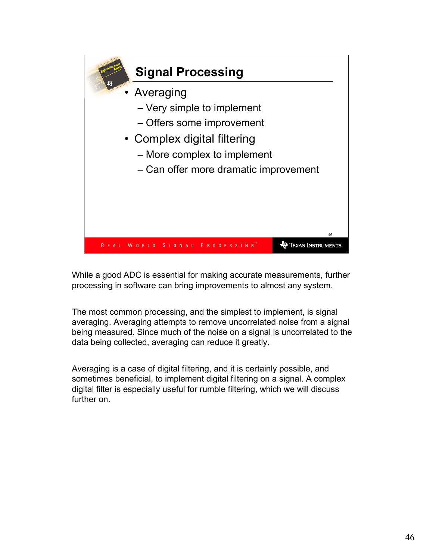

While a good ADC is essential for making accurate measurements, further processing in software can bring improvements to almost any system.

The most common processing, and the simplest to implement, is signal averaging. Averaging attempts to remove uncorrelated noise from a signal being measured. Since much of the noise on a signal is uncorrelated to the data being collected, averaging can reduce it greatly.

Averaging is a case of digital filtering, and it is certainly possible, and sometimes beneficial, to implement digital filtering on a signal. A complex digital filter is especially useful for rumble filtering, which we will discuss further on.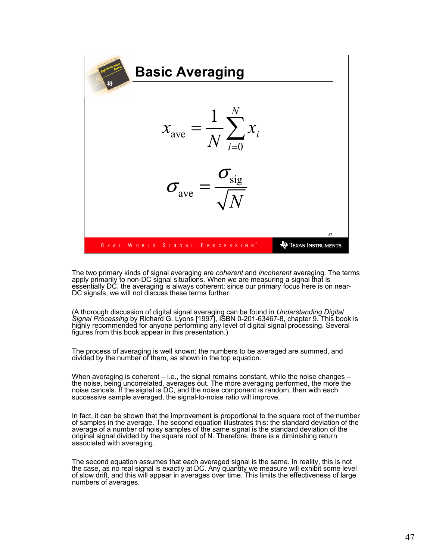

The two primary kinds of signal averaging are coherent and incoherent averaging. The terms apply primarily to non-DC signal situations. When we are measuring a signal that is essentially DC, the averaging is always coherent; since our primary focus here is on near-DC signals, we will not discuss these terms further.

(A thorough discussion of digital signal averaging can be found in Understanding Digital Signal Processing by Richard G. Lyons [1997], ISBN 0-201-63467-8, chapter 9. This book is highly recommended for anyone performing any level of digital signal processing. Several figures from this book appear in this presentation.)

The process of averaging is well known: the numbers to be averaged are summed, and divided by the number of them, as shown in the top equation.

When averaging is coherent – i.e., the signal remains constant, while the noise changes – the noise, being uncorrelated, averages out. The more averaging performed, the more the noise cancels. If the signal is DC, and the noise component is random, then with each successive sample averaged, the signal-to-noise ratio will improve.

In fact, it can be shown that the improvement is proportional to the square root of the number of samples in the average. The second equation illustrates this: the standard deviation of the average of a number of noisy samples of the same signal is the standard deviation of the original signal divided by the square root of N. Therefore, there is a diminishing return associated with averaging.

The second equation assumes that each averaged signal is the same. In reality, this is not the case, as no real signal is exactly at DC. Any quantity we measure will exhibit some level of slow drift, and this will appear in averages over time. This limits the effectiveness of large numbers of averages.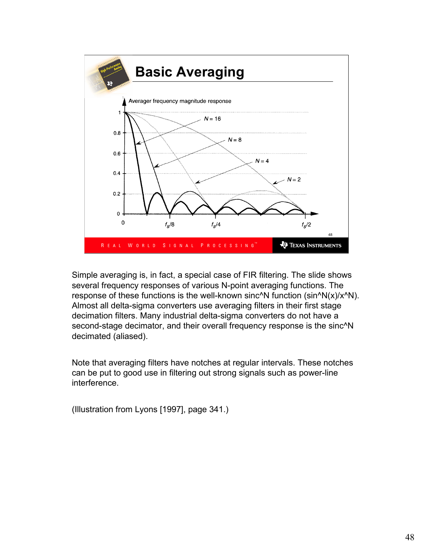

Simple averaging is, in fact, a special case of FIR filtering. The slide shows several frequency responses of various N-point averaging functions. The response of these functions is the well-known sinc<sup> $\wedge$ </sup>N function (sin $\wedge$ N(x)/x $\wedge$ N). Almost all delta-sigma converters use averaging filters in their first stage decimation filters. Many industrial delta-sigma converters do not have a second-stage decimator, and their overall frequency response is the sinc<sup>^</sup>N decimated (aliased).

Note that averaging filters have notches at regular intervals. These notches can be put to good use in filtering out strong signals such as power-line interference.

(Illustration from Lyons [1997], page 341.)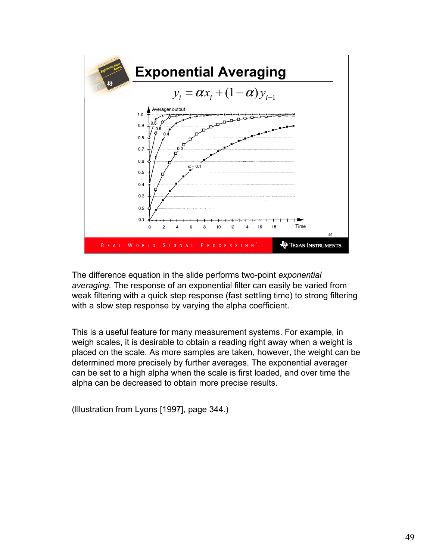

The difference equation in the slide performs two-point exponential averaging. The response of an exponential filter can easily be varied from weak filtering with a quick step response (fast settling time) to strong filtering with a slow step response by varying the alpha coefficient.

This is a useful feature for many measurement systems. For example, in weigh scales, it is desirable to obtain a reading right away when a weight is placed on the scale. As more samples are taken, however, the weight can be determined more precisely by further averages. The exponential averager can be set to a high alpha when the scale is first loaded, and over time the alpha can be decreased to obtain more precise results.

(Illustration from Lyons [1997], page 344.)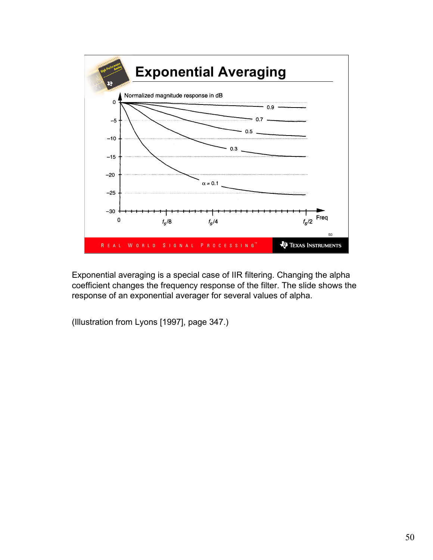

Exponential averaging is a special case of IIR filtering. Changing the alpha coefficient changes the frequency response of the filter. The slide shows the response of an exponential averager for several values of alpha.

(Illustration from Lyons [1997], page 347.)